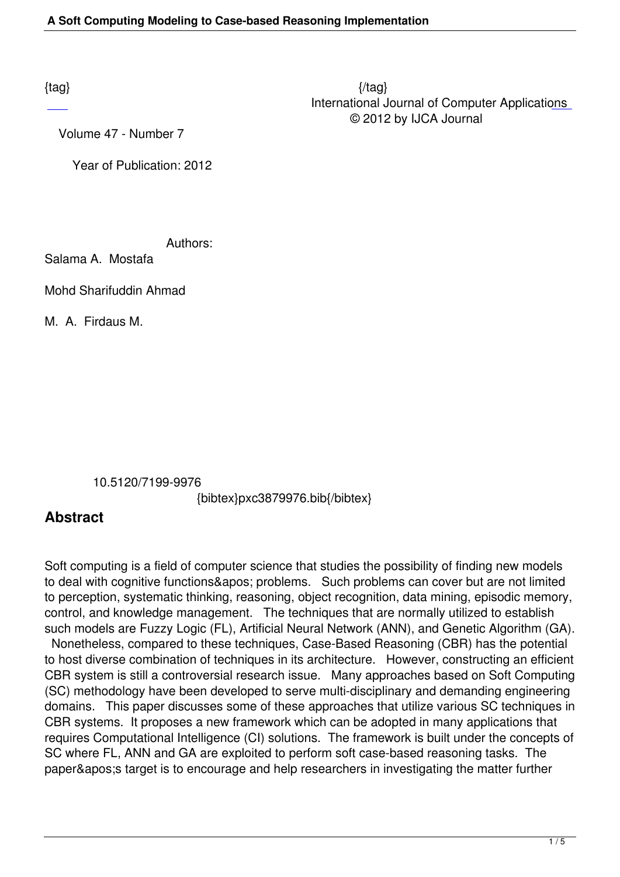Volume 47 - Number 7

Year of Publication: 2012

Authors:

Salama A. Mostafa

Mohd Sharifuddin Ahmad

M. A. Firdaus M.

10.5120/7199-9976

{bibtex}pxc3879976.bib{/bibtex}

## **Abstract**

Soft computing is a field of computer science that studies the possibility of finding new models to deal with cognitive functions&apos: problems. Such problems can cover but are not limited to perception, systematic thinking, reasoning, object recognition, data mining, episodic memory, control, and knowledge management. The techniques that are normally utilized to establish such models are Fuzzy Logic (FL), Artificial Neural Network (ANN), and Genetic Algorithm (GA).

 Nonetheless, compared to these techniques, Case-Based Reasoning (CBR) has the potential to host diverse combination of techniques in its architecture. However, constructing an efficient CBR system is still a controversial research issue. Many approaches based on Soft Computing (SC) methodology have been developed to serve multi-disciplinary and demanding engineering domains. This paper discusses some of these approaches that utilize various SC techniques in CBR systems. It proposes a new framework which can be adopted in many applications that requires Computational Intelligence (CI) solutions. The framework is built under the concepts of SC where FL, ANN and GA are exploited to perform soft case-based reasoning tasks. The paper&apos: target is to encourage and help researchers in investigating the matter further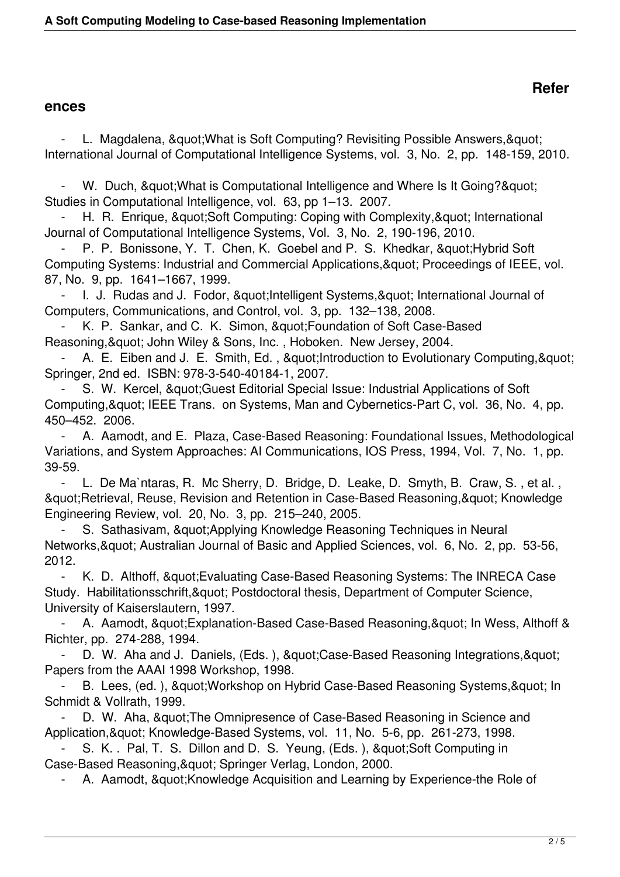## **ences**

L. Magdalena, " What is Soft Computing? Revisiting Possible Answers, " International Journal of Computational Intelligence Systems, vol. 3, No. 2, pp. 148-159, 2010.

W. Duch, " What is Computational Intelligence and Where Is It Going? & quot; Studies in Computational Intelligence, vol. 63, pp 1–13. 2007.

H. R. Enrique, "Soft Computing: Coping with Complexity, " International Journal of Computational Intelligence Systems, Vol. 3, No. 2, 190-196, 2010.

P. P. Bonissone, Y. T. Chen, K. Goebel and P. S. Khedkar, " Hybrid Soft Computing Systems: Industrial and Commercial Applications, & quot; Proceedings of IEEE, vol. 87, No. 9, pp. 1641–1667, 1999.

- I. J. Rudas and J. Fodor, " Intelligent Systems, " International Journal of Computers, Communications, and Control, vol. 3, pp. 132–138, 2008.

K. P. Sankar, and C. K. Simon, & quot; Foundation of Soft Case-Based Reasoning, & quot; John Wiley & Sons, Inc., Hoboken. New Jersey, 2004.

A. E. Eiben and J. E. Smith, Ed., & auot; Introduction to Evolutionary Computing, & quot; Springer, 2nd ed. ISBN: 978-3-540-40184-1, 2007.

S. W. Kercel, " Guest Editorial Special Issue: Industrial Applications of Soft Computing, & quot; IEEE Trans. on Systems, Man and Cybernetics-Part C, vol. 36, No. 4, pp. 450–452. 2006.

 - A. Aamodt, and E. Plaza, Case-Based Reasoning: Foundational Issues, Methodological Variations, and System Approaches: AI Communications, IOS Press, 1994, Vol. 7, No. 1, pp. 39-59.

 - L. De Ma`ntaras, R. Mc Sherry, D. Bridge, D. Leake, D. Smyth, B. Craw, S. , et al. , & guot; Retrieval, Reuse, Revision and Retention in Case-Based Reasoning, & quot; Knowledge Engineering Review, vol. 20, No. 3, pp. 215–240, 2005.

S. Sathasivam, & quot: Applying Knowledge Reasoning Techniques in Neural Networks, & quot; Australian Journal of Basic and Applied Sciences, vol. 6, No. 2, pp. 53-56, 2012.

- K. D. Althoff, & quot; Evaluating Case-Based Reasoning Systems: The INRECA Case Study. Habilitationsschrift, & quot; Postdoctoral thesis, Department of Computer Science, University of Kaiserslautern, 1997.

A. Aamodt, " Explanation-Based Case-Based Reasoning, " In Wess, Althoff & Richter, pp. 274-288, 1994.

D. W. Aha and J. Daniels, (Eds. ), " Case-Based Reasoning Integrations, " Papers from the AAAI 1998 Workshop, 1998.

B. Lees, (ed. ), & quot; Workshop on Hybrid Case-Based Reasoning Systems, & quot; In Schmidt & Vollrath, 1999.

D. W. Aha, " The Omnipresence of Case-Based Reasoning in Science and Application, & quot; Knowledge-Based Systems, vol. 11, No. 5-6, pp. 261-273, 1998.

S. K. . Pal, T. S. Dillon and D. S. Yeung, (Eds. ), "Soft Computing in Case-Based Reasoning, & quot; Springer Verlag, London, 2000.

A. Aamodt, " Knowledge Acquisition and Learning by Experience-the Role of

## **Refer**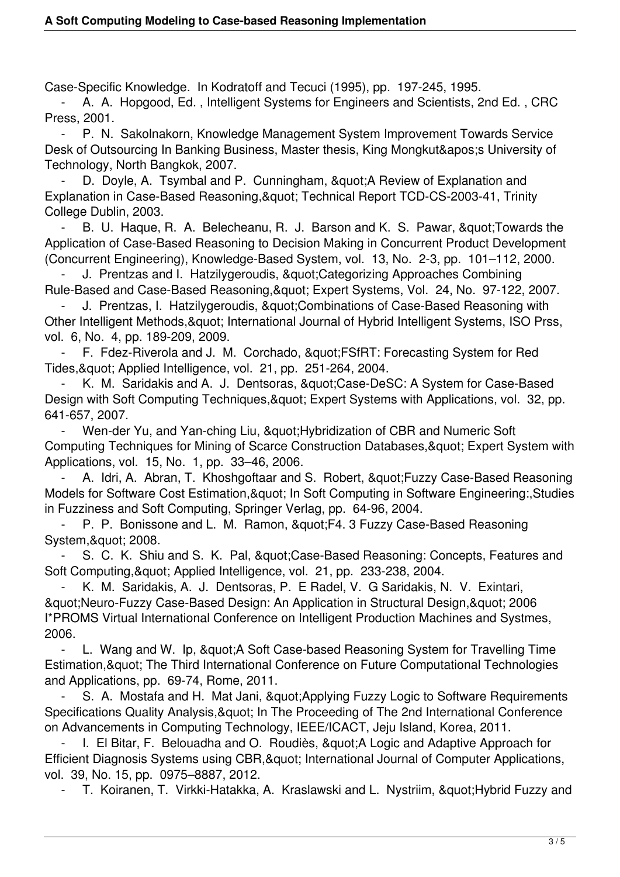Case-Specific Knowledge. In Kodratoff and Tecuci (1995), pp. 197-245, 1995.

 - A. A. Hopgood, Ed. , Intelligent Systems for Engineers and Scientists, 2nd Ed. , CRC Press, 2001.

 - P. N. Sakolnakorn, Knowledge Management System Improvement Towards Service Desk of Outsourcing In Banking Business, Master thesis, King Mongkut' University of Technology, North Bangkok, 2007.

D. Doyle, A. Tsymbal and P. Cunningham, & quot: A Review of Explanation and Explanation in Case-Based Reasoning, & quot; Technical Report TCD-CS-2003-41, Trinity College Dublin, 2003.

B. U. Haque, R. A. Belecheanu, R. J. Barson and K. S. Pawar, & quot; Towards the Application of Case-Based Reasoning to Decision Making in Concurrent Product Development (Concurrent Engineering), Knowledge-Based System, vol. 13, No. 2-3, pp. 101–112, 2000.

J. Prentzas and I. Hatzilygeroudis, " Categorizing Approaches Combining Rule-Based and Case-Based Reasoning, & quot; Expert Systems, Vol. 24, No. 97-122, 2007.

J. Prentzas, I. Hatzilygeroudis, & quot; Combinations of Case-Based Reasoning with Other Intelligent Methods, & quot; International Journal of Hybrid Intelligent Systems, ISO Prss, vol. 6, No. 4, pp. 189-209, 2009.

F. Fdez-Riverola and J. M. Corchado, & quot: FSfRT: Forecasting System for Red Tides, & quot; Applied Intelligence, vol. 21, pp. 251-264, 2004.

K. M. Saridakis and A. J. Dentsoras, & quot: Case-DeSC: A System for Case-Based Design with Soft Computing Techniques, & quot; Expert Systems with Applications, vol. 32, pp. 641-657, 2007.

Wen-der Yu, and Yan-ching Liu, & quot; Hybridization of CBR and Numeric Soft Computing Techniques for Mining of Scarce Construction Databases, & quot; Expert System with Applications, vol. 15, No. 1, pp. 33–46, 2006.

A. Idri, A. Abran, T. Khoshgoftaar and S. Robert, " Fuzzy Case-Based Reasoning Models for Software Cost Estimation, & quot; In Soft Computing in Software Engineering: Studies in Fuzziness and Soft Computing, Springer Verlag, pp. 64-96, 2004.

P. P. Bonissone and L. M. Ramon, "F4. 3 Fuzzy Case-Based Reasoning System," 2008.

S. C. K. Shiu and S. K. Pal, " Case-Based Reasoning: Concepts, Features and Soft Computing, & quot; Applied Intelligence, vol. 21, pp. 233-238, 2004.

 - K. M. Saridakis, A. J. Dentsoras, P. E Radel, V. G Saridakis, N. V. Exintari, & auot; Neuro-Fuzzy Case-Based Design: An Application in Structural Design, & quot; 2006 I\*PROMS Virtual International Conference on Intelligent Production Machines and Systmes, 2006.

L. Wang and W. Ip, & quot; A Soft Case-based Reasoning System for Travelling Time Estimation, & quot; The Third International Conference on Future Computational Technologies and Applications, pp. 69-74, Rome, 2011.

S. A. Mostafa and H. Mat Jani, & quot; Applying Fuzzy Logic to Software Requirements Specifications Quality Analysis, & quot; In The Proceeding of The 2nd International Conference on Advancements in Computing Technology, IEEE/ICACT, Jeju Island, Korea, 2011.

I. El Bitar, F. Belouadha and O. Roudiès, & quot; A Logic and Adaptive Approach for Efficient Diagnosis Systems using CBR, & quot: International Journal of Computer Applications, vol. 39, No. 15, pp. 0975–8887, 2012.

T. Koiranen, T. Virkki-Hatakka, A. Kraslawski and L. Nystriim, & quot; Hybrid Fuzzy and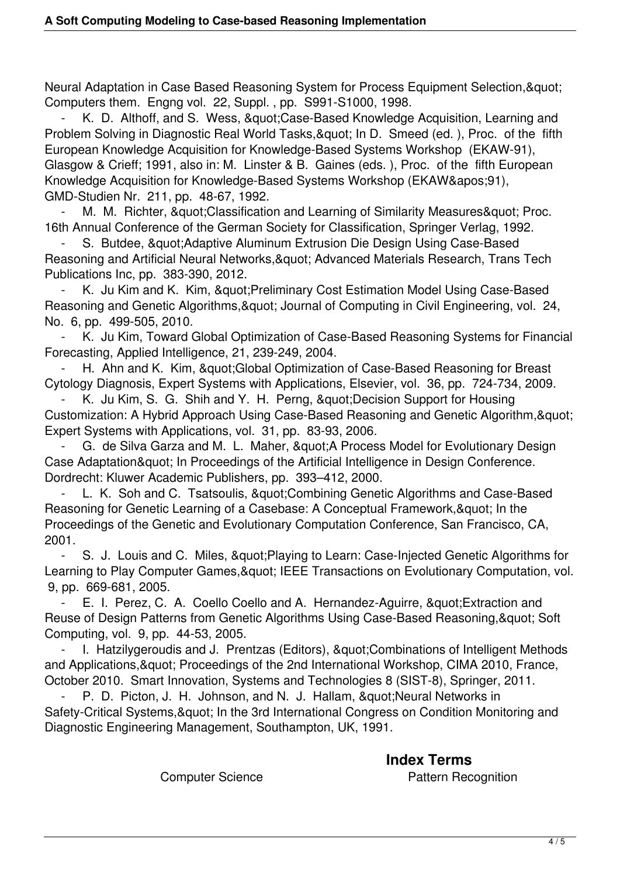Neural Adaptation in Case Based Reasoning System for Process Equipment Selection, & quot; Computers them. Engng vol. 22, Suppl. , pp. S991-S1000, 1998.

K. D. Althoff, and S. Wess, & quot; Case-Based Knowledge Acquisition, Learning and Problem Solving in Diagnostic Real World Tasks, & quot; In D. Smeed (ed.), Proc. of the fifth European Knowledge Acquisition for Knowledge-Based Systems Workshop (EKAW-91), Glasgow & Crieff; 1991, also in: M. Linster & B. Gaines (eds. ), Proc. of the fifth European Knowledge Acquisition for Knowledge-Based Systems Workshop (EKAW&apos: 91), GMD-Studien Nr. 211, pp. 48-67, 1992.

M. M. Richter, & quot: Classification and Learning of Similarity Measures & quot: Proc. 16th Annual Conference of the German Society for Classification, Springer Verlag, 1992.

S. Butdee, & quot; Adaptive Aluminum Extrusion Die Design Using Case-Based Reasoning and Artificial Neural Networks, & quot; Advanced Materials Research, Trans Tech Publications Inc, pp. 383-390, 2012.

K. Ju Kim and K. Kim, & quot; Preliminary Cost Estimation Model Using Case-Based Reasoning and Genetic Algorithms, & quot; Journal of Computing in Civil Engineering, vol. 24, No. 6, pp. 499-505, 2010.

 - K. Ju Kim, Toward Global Optimization of Case-Based Reasoning Systems for Financial Forecasting, Applied Intelligence, 21, 239-249, 2004.

H. Ahn and K. Kim, & quot; Global Optimization of Case-Based Reasoning for Breast Cytology Diagnosis, Expert Systems with Applications, Elsevier, vol. 36, pp. 724-734, 2009.

K. Ju Kim, S. G. Shih and Y. H. Perng, " Decision Support for Housing Customization: A Hybrid Approach Using Case-Based Reasoning and Genetic Algorithm, & quot; Expert Systems with Applications, vol. 31, pp. 83-93, 2006.

G. de Silva Garza and M. L. Maher, & quot; A Process Model for Evolutionary Design Case Adaptation & quot: In Proceedings of the Artificial Intelligence in Design Conference. Dordrecht: Kluwer Academic Publishers, pp. 393–412, 2000.

L. K. Soh and C. Tsatsoulis, & quot; Combining Genetic Algorithms and Case-Based Reasoning for Genetic Learning of a Casebase: A Conceptual Framework, & quot: In the Proceedings of the Genetic and Evolutionary Computation Conference, San Francisco, CA, 2001.

- S. J. Louis and C. Miles, & quot: Playing to Learn: Case-Injected Genetic Algorithms for Learning to Play Computer Games, & quot; IEEE Transactions on Evolutionary Computation, vol. 9, pp. 669-681, 2005.

E. I. Perez, C. A. Coello Coello and A. Hernandez-Aguirre, " Extraction and Reuse of Design Patterns from Genetic Algorithms Using Case-Based Reasoning, & quot; Soft Computing, vol. 9, pp. 44-53, 2005.

I. Hatzilygeroudis and J. Prentzas (Editors), " Combinations of Intelligent Methods and Applications, & quot; Proceedings of the 2nd International Workshop, CIMA 2010, France, October 2010. Smart Innovation, Systems and Technologies 8 (SIST-8), Springer, 2011.

P. D. Picton, J. H. Johnson, and N. J. Hallam, " Neural Networks in Safety-Critical Systems, & quot; In the 3rd International Congress on Condition Monitoring and Diagnostic Engineering Management, Southampton, UK, 1991.

 **Index Terms**  Computer Science **Pattern Recognition**